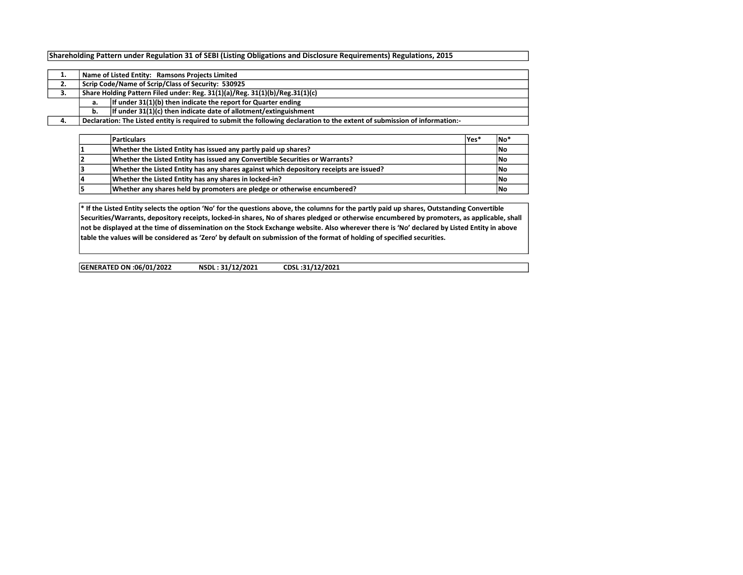## Shareholding Pattern under Regulation 31 of SEBI (Listing Obligations and Disclosure Requirements) Regulations, 2015

|    |                                                    | Name of Listed Entity: Ramsons Projects Limited                                                                             |  |  |  |  |  |  |  |  |  |  |
|----|----------------------------------------------------|-----------------------------------------------------------------------------------------------------------------------------|--|--|--|--|--|--|--|--|--|--|
| 2. | Scrip Code/Name of Scrip/Class of Security: 530925 |                                                                                                                             |  |  |  |  |  |  |  |  |  |  |
| з. |                                                    | Share Holding Pattern Filed under: Reg. 31(1)(a)/Reg. 31(1)(b)/Reg.31(1)(c)                                                 |  |  |  |  |  |  |  |  |  |  |
|    | a.                                                 | If under 31(1)(b) then indicate the report for Quarter ending                                                               |  |  |  |  |  |  |  |  |  |  |
|    | b.                                                 | If under 31(1)(c) then indicate date of allotment/extinguishment                                                            |  |  |  |  |  |  |  |  |  |  |
|    |                                                    | Declaration: The Listed entity is required to submit the following declaration to the extent of submission of information:- |  |  |  |  |  |  |  |  |  |  |

|    | <b>Particulars</b>                                                                     | lYes* | <b>No</b>  |
|----|----------------------------------------------------------------------------------------|-------|------------|
|    | Whether the Listed Entity has issued any partly paid up shares?                        |       | <b>INo</b> |
|    | Whether the Listed Entity has issued any Convertible Securities or Warrants?           |       | <b>INo</b> |
|    | Whether the Listed Entity has any shares against which depository receipts are issued? |       | <b>INo</b> |
| 14 | Whether the Listed Entity has any shares in locked-in?                                 |       | <b>INo</b> |
|    | Whether any shares held by promoters are pledge or otherwise encumbered?               |       | <b>INo</b> |

\* If the Listed Entity selects the option 'No' for the questions above, the columns for the partly paid up shares, Outstanding Convertible Securities/Warrants, depository receipts, locked-in shares, No of shares pledged or otherwise encumbered by promoters, as applicable, shall not be displayed at the time of dissemination on the Stock Exchange website. Also wherever there is 'No' declared by Listed Entity in above table the values will be considered as 'Zero' by default on submission of the format of holding of specified securities.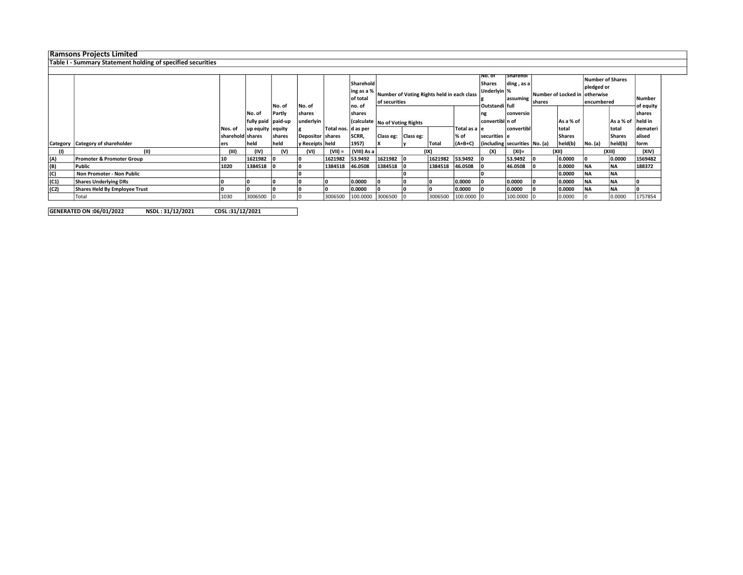## Ramsons Projects Limited

## Table I - Summary Statement holding of specified securities

|      |                                      |                  |                    | No. of         | No. of           |                       | Sharehold<br>ling as a %<br>of total<br>lno. of | Number of Voting Rights held in each class<br>of securities |  |         | ⊺Sharehol<br>⊺No. of<br>Shares<br>ding, as a<br>Underlyin %<br>assuming<br> Outstandi   full |                                       |            | Number of Locked in  otherwise <br><b>shares</b> |               |           | <b>Number of Shares</b><br>pledged or<br>encumbered |          |        |       |
|------|--------------------------------------|------------------|--------------------|----------------|------------------|-----------------------|-------------------------------------------------|-------------------------------------------------------------|--|---------|----------------------------------------------------------------------------------------------|---------------------------------------|------------|--------------------------------------------------|---------------|-----------|-----------------------------------------------------|----------|--------|-------|
|      |                                      |                  | No. of             | Partly         | shares           |                       | shares                                          |                                                             |  |         | ng                                                                                           | conversio                             |            |                                                  |               |           | of equity<br><b>shares</b>                          |          |        |       |
|      |                                      |                  | fully paid paid-up |                | underlyin        |                       |                                                 | Calculate No of Voting Rights                               |  |         |                                                                                              | convertibl n of                       |            |                                                  | As a % of     |           | As a % of held in                                   |          |        |       |
|      |                                      | Nos. of          | up equity equity   |                |                  | Total nos.   d as per |                                                 |                                                             |  |         | Total as a le                                                                                |                                       | convertibl |                                                  | Itotal        |           | total                                               | demateri |        |       |
|      |                                      | sharehold shares |                    | <b>Ishares</b> | Depositor shares |                       | SCRR,                                           | Class eg:   Class eg:                                       |  |         | l% of                                                                                        | securities e                          |            |                                                  | <b>Shares</b> |           | Shares                                              | alised   |        |       |
|      | Category   Category of shareholder   | ers              | <b>held</b>        | held           | y Receipts held  |                       | 1957)                                           |                                                             |  | Tota    | $  (A+B+C)$                                                                                  | $ $ (including securities $ No. (a) $ |            |                                                  | held(b)       | No. (a)   | held(b)                                             | form     |        |       |
| (1)  |                                      | (III)            | (IV)               | (V)            | (VI)             | $(VII) =$             | (VIII) As a                                     |                                                             |  | (IX)    |                                                                                              |                                       |            | (X)                                              | (XI)=         | (XII)     |                                                     |          | (XIII) | (XIV) |
| (A)  | <b>Promoter &amp; Promoter Group</b> | 10               | 1621982            |                |                  | 1621982               | 53.9492                                         | 1621982                                                     |  | 1621982 | 53.9492                                                                                      |                                       | 53.9492    |                                                  | 0.0000        |           | 0.0000                                              | 1569482  |        |       |
| (B)  | l Public                             | 1020             | 1384518            |                |                  | 1384518               | 46.0508                                         | 1384518                                                     |  | 1384518 | 46.0508                                                                                      |                                       | 46.0508    |                                                  | 0.0000        | <b>NA</b> | INA.                                                | 188372   |        |       |
| (C)  | Non Promoter - Non Public            |                  |                    |                |                  |                       |                                                 |                                                             |  |         |                                                                                              |                                       |            |                                                  | 0.0000        | <b>NA</b> | <b>NA</b>                                           |          |        |       |
| (C1) | <b>Shares Underlying DRs</b>         |                  |                    |                |                  |                       | 0.0000                                          |                                                             |  |         | 0.0000                                                                                       |                                       | 0.0000     |                                                  | 0.0000        | <b>NA</b> | <b>NA</b>                                           |          |        |       |
| (C2) | Shares Held By Employee Trust        |                  |                    |                |                  |                       | 0.0000                                          |                                                             |  |         | 0.0000                                                                                       |                                       | 0.0000     |                                                  | 0.0000        | <b>NA</b> | NA                                                  |          |        |       |
|      | Total                                | 1030             | 3006500            |                |                  | 3006500               | 100.0000 3006500                                |                                                             |  | 3006500 | $100,0000$ $ 0$                                                                              |                                       | 100.0000   |                                                  | 0.0000        |           | 0.0000                                              | 1757854  |        |       |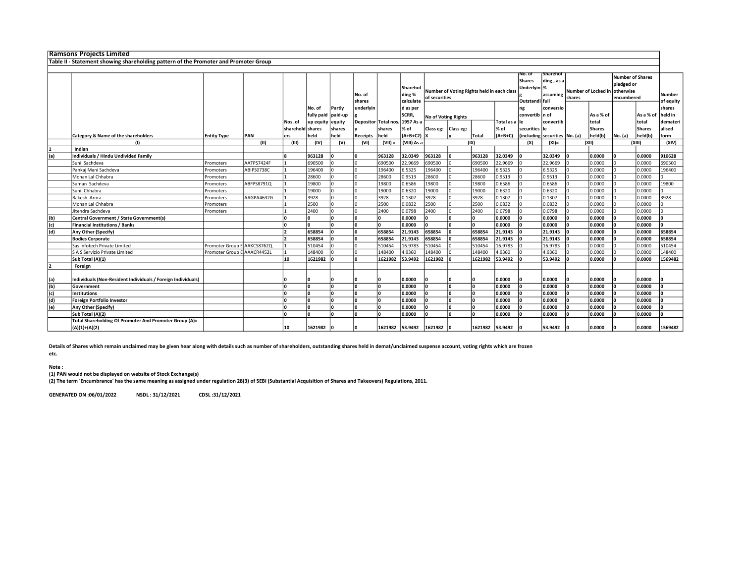|     | <b>Ramsons Projects Limited</b>                                                      |                             |            |                  |            |         |                  |                      |                                 |                                                             |           |                 |                                                          |                                    |           |                               |                                                     |         |                     |          |
|-----|--------------------------------------------------------------------------------------|-----------------------------|------------|------------------|------------|---------|------------------|----------------------|---------------------------------|-------------------------------------------------------------|-----------|-----------------|----------------------------------------------------------|------------------------------------|-----------|-------------------------------|-----------------------------------------------------|---------|---------------------|----------|
|     | Table II - Statement showing shareholding pattern of the Promoter and Promoter Group |                             |            |                  |            |         |                  |                      |                                 |                                                             |           |                 |                                                          |                                    |           |                               |                                                     |         |                     |          |
|     |                                                                                      |                             |            |                  |            |         |                  |                      |                                 |                                                             |           |                 |                                                          |                                    |           |                               |                                                     |         |                     |          |
|     |                                                                                      |                             |            |                  |            |         | No. of<br>shares |                      | Sharehol<br>ding %<br>calculate | Number of Voting Rights held in each class<br>of securities |           |                 | No. of<br><b>Shares</b><br>Underlyin %<br>Outstandi full | Sharehol<br>ding, as a<br>assuming | shares    | Number of Locked in otherwise | <b>Number of Shares</b><br>pledged or<br>encumbered |         | Number<br>of equity |          |
|     |                                                                                      |                             |            |                  | No. of     | Partly  | underlyin        |                      | d as per                        |                                                             |           |                 |                                                          | ng                                 | conversio |                               |                                                     |         |                     | shares   |
|     |                                                                                      |                             |            |                  | fully paid | paid-up |                  |                      | <b>SCRR</b>                     | No of Voting Rights                                         |           |                 |                                                          | convertib n of                     |           |                               | As a % of                                           |         | As a % of           | held in  |
|     |                                                                                      |                             |            | Nos. of          | up equity  | equity  |                  | Depositor Total nos. | 1957 As a                       |                                                             |           |                 | Total as a lle                                           |                                    | convertib |                               | total                                               |         | total               | demateri |
|     |                                                                                      |                             |            | sharehold shares |            | shares  |                  | shares               | % of                            | Class eg:                                                   | Class eg: |                 | % of                                                     | securities                         |           |                               | <b>Shares</b>                                       |         | <b>Shares</b>       | alised   |
|     | Category & Name of the shareholders                                                  | <b>Entity Type</b>          | PAN        | ers              | held       | held    | Receipts         | held                 | $ $ (A+B+C2) X                  |                                                             |           | <b>Total</b>    | $(A+B+C)$                                                | (including securities   No. (a)    |           |                               | held(b)                                             | NO. (a) | held(b)             | form     |
|     | (1)                                                                                  |                             | (II)       | (III)            | (IV)       | (v)     | (VI)             | $(VII) =$            | (VIII) As a                     |                                                             |           | (IX)            |                                                          | (X)                                | $(XI)$ =  |                               | (XII)                                               |         | (XIII)              | (XIV)    |
|     | Indian                                                                               |                             |            |                  |            |         |                  |                      |                                 |                                                             |           |                 |                                                          |                                    |           |                               |                                                     |         |                     |          |
| (a) | Individuals / Hindu Undivided Family                                                 |                             |            |                  | 963128     |         |                  | 963128               | 32.0349                         | 963128                                                      | I۵        | 963128          | 32.0349                                                  | ١o                                 | 32.0349   |                               | 0.0000                                              |         | 0.0000              | 910628   |
|     | Sunil Sachdeva                                                                       | Promoters                   | AATPS7424F |                  | 690500     |         |                  | 690500               | 22.9669                         | 690500                                                      |           | 690500          | 22.9669                                                  |                                    | 22.9669   |                               | 0.0000                                              |         | 0.0000              | 690500   |
|     | Pankaj Mani Sachdeva                                                                 | Promoters                   | ABIPS0738C |                  | 196400     |         |                  | 196400               | 6.5325                          | 196400                                                      |           | 196400          | 6.5325                                                   | I٥                                 | 6.5325    |                               | 0.0000                                              |         | 0.0000              | 196400   |
|     | Mohan Lal Chhabra                                                                    | Promoters                   |            |                  | 28600      |         |                  | 28600                | 0.9513                          | 28600                                                       |           | 28600           | 0.9513                                                   | I٥                                 | 0.9513    |                               | 0.0000                                              |         | 0.0000              |          |
|     | Suman Sachdeva                                                                       | Promoters                   | ABFPS8791Q |                  | 19800      |         |                  | 19800                | 0.6586                          | 19800                                                       |           | 19800           | 0.6586                                                   | I٥                                 | 0.6586    |                               | 0.0000                                              |         | 0.0000              | 19800    |
|     | Sunil Chhabra                                                                        | Promoters                   |            |                  | 19000      |         |                  | 19000                | 0.6320                          | 19000                                                       |           | 19000           | 0.6320                                                   | I٥                                 | 0.6320    |                               | 0.0000                                              |         | 0.0000              |          |
|     | Rakesh Arora                                                                         | Promoters                   | AAGPA4632G |                  | 3928       |         |                  | 3928                 | 0.1307                          | 3928                                                        |           | 3928            | 0.1307                                                   |                                    | 0.1307    |                               | 0.0000                                              |         | 0.0000              | 3928     |
|     | Mohan Lal Chhabra                                                                    | Promoters                   |            |                  | 2500       |         |                  | 2500                 | 0.0832                          | 2500                                                        |           | 2500            | 0.0832                                                   | I٥                                 | 0.0832    |                               | 0.0000                                              |         | 0.0000              |          |
|     | Jitendra Sachdeva                                                                    | Promoters                   |            |                  | 2400       |         |                  | 2400                 | 0.0798                          | 2400                                                        |           | 2400            | 0.0798                                                   | I٥                                 | 0.0798    |                               | 0.0000                                              |         | 0.0000              |          |
| (b) | Central Government / State Government(s)                                             |                             |            |                  |            |         |                  | n.                   | 0.0000                          |                                                             | I۵        | ١o              | 0.0000                                                   | ١n                                 | 0.0000    | l٥                            | 0.0000                                              |         | 0.0000              | l٥       |
| (c) | <b>Financial Institutions / Banks</b>                                                |                             |            |                  | <b>n</b>   |         |                  | l0.                  | 0.0000                          | n                                                           | l∩        | <b>O</b>        | 0.0000                                                   | ١o                                 | 0.0000    |                               | 0.0000                                              |         | 0.0000              | l٥       |
| (d) | Any Other (Specify)                                                                  |                             |            |                  | 658854     |         |                  | 658854               | 21.9143                         | 658854                                                      |           | 658854          | 21.9143                                                  | ١o                                 | 21.9143   |                               | 0.0000                                              |         | 0.0000              | 658854   |
|     | <b>Bodies Corporate</b>                                                              |                             |            |                  | 658854     |         |                  | 658854               | 21.9143                         | 658854                                                      |           | 658854          | 21.9143                                                  | ١o                                 | 21.9143   |                               | 0.0000                                              |         | 0.0000              | 658854   |
|     | Sas Infotech Private Limited                                                         | Promoter Group E AAKCS8762Q |            |                  | 510454     |         |                  | 510454               | 16.9783                         | 510454                                                      |           | 510454          | 16.9783                                                  | I0                                 | 16.9783   |                               | 0.0000                                              |         | 0.0000              | 510454   |
|     | S A S Servizio Private Limited                                                       | Promoter Group E AAACR4452L |            |                  | 148400     |         |                  | 148400               | 4.9360                          | 148400                                                      |           | 148400          | 4.9360                                                   |                                    | 4.9360    |                               | 0.0000                                              |         | 0.0000              | 148400   |
|     | Sub Total (A)(1)                                                                     |                             |            | 10               | 1621982    |         |                  | 1621982              | 53.9492                         | 1621982                                                     |           | 1621982         | 53.9492                                                  | 10                                 | 53.9492   |                               | 0.0000                                              |         | 0.0000              | 1569482  |
|     | Foreign                                                                              |                             |            |                  |            |         |                  |                      |                                 |                                                             |           |                 |                                                          |                                    |           |                               |                                                     |         |                     |          |
| (a) | Individuals (Non-Resident Individuals / Foreign Individuals)                         |                             |            |                  |            |         |                  |                      | 0.0000                          |                                                             |           |                 | 0.0000                                                   |                                    | 0.0000    |                               | 0.0000                                              |         | 0.0000              |          |
| (b) | Government                                                                           |                             |            | U                | l٥         |         |                  | 'n                   | 0.0000                          |                                                             | I٥        | l n             | 0.0000                                                   | ١n                                 | 0.0000    |                               | 0.0000                                              |         | 0.0000              | ١n       |
| (c) | <b>Institutions</b>                                                                  |                             |            |                  |            |         |                  | ln.                  | 0.0000                          |                                                             |           | ۱o              | 0.0000                                                   | ١o                                 | 0.0000    |                               | 0.0000                                              |         | 0.0000              |          |
| (d) | Foreign Portfolio Investor                                                           |                             |            | U                |            |         |                  | n.                   | 0.0000                          |                                                             | I۵        | ۱O.             | 0.0000                                                   | ١n                                 | 0.0000    | n                             | 0.0000                                              |         | 0.0000              | ١n       |
| (e) | Any Other (Specify)                                                                  |                             |            | U                |            |         |                  | n                    | 0.0000                          |                                                             |           | ١O              | 0.0000                                                   | ١n                                 | 0.0000    |                               | 0.0000                                              |         | 0.0000              |          |
|     | Sub Total (A)(2)                                                                     |                             |            |                  |            |         |                  |                      | 0.0000                          |                                                             |           | n               | 0.0000                                                   |                                    | 0.0000    |                               | 0.0000                                              |         | 0.0000              |          |
|     | Total Shareholding Of Promoter And Promoter Group (A)=                               |                             |            |                  |            |         |                  |                      |                                 |                                                             |           |                 |                                                          |                                    |           |                               |                                                     |         |                     |          |
|     | $(A)(1)+(A)(2)$                                                                      |                             |            | 10               | 1621982    |         |                  | 1621982 53.9492      |                                 | 1621982 0                                                   |           | 1621982 53.9492 |                                                          | ١o                                 | 53.9492   |                               | 0.0000                                              |         | 0.0000              | 1569482  |

Details of Shares which remain unclaimed may be given hear along with details such as number of shareholders, outstanding shares held in demat/unclaimed suspense account, voting rights which are frozen

etc.

## Note :

(1) PAN would not be displayed on website of Stock Exchange(s)

(2) The term 'Encumbrance' has the same meaning as assigned under regulation 28(3) of SEBI (Substantial Acquisition of Shares and Takeovers) Regulations, 2011.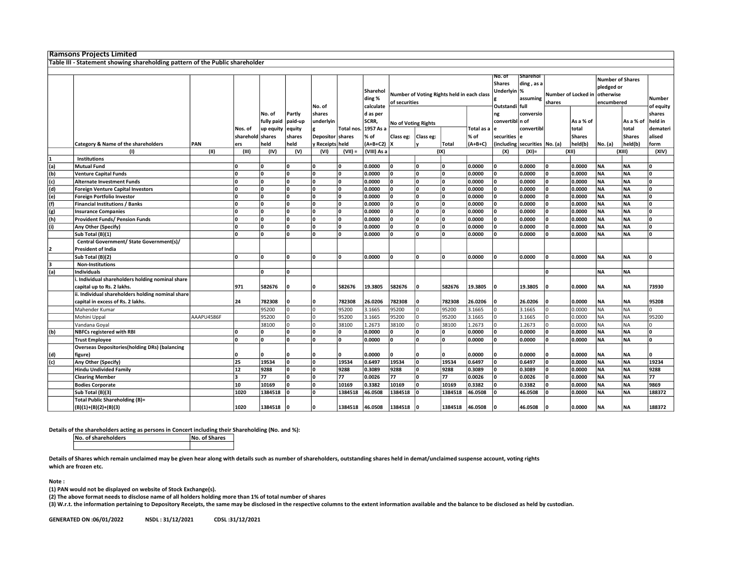|     | <b>Ramsons Projects Limited</b>                                              |            |                         |                                   |                             |                                                                                                |            |                                |                            |                                                            |                                           |                               |                            |                                                                  |    |                            |           |                    |                               |
|-----|------------------------------------------------------------------------------|------------|-------------------------|-----------------------------------|-----------------------------|------------------------------------------------------------------------------------------------|------------|--------------------------------|----------------------------|------------------------------------------------------------|-------------------------------------------|-------------------------------|----------------------------|------------------------------------------------------------------|----|----------------------------|-----------|--------------------|-------------------------------|
|     | Table III - Statement showing shareholding pattern of the Public shareholder |            |                         |                                   |                             |                                                                                                |            |                                |                            |                                                            |                                           |                               |                            |                                                                  |    |                            |           |                    |                               |
|     |                                                                              |            |                         |                                   |                             |                                                                                                |            |                                |                            |                                                            |                                           |                               |                            |                                                                  |    |                            |           |                    |                               |
|     |                                                                              |            |                         |                                   |                             | Sharehol<br>Number of Voting Rights held in each class<br>ding %<br>of securities<br>calculate |            |                                |                            | NO. OT<br><b>Shares</b><br>Underlyin %<br>Outstandi   full | <b>Sharehol</b><br>ding, as a<br>assuming | Number of Locked in<br>shares |                            | <b>Number of Shares</b><br>pledged or<br>otherwise<br>encumbered |    | <b>Number</b><br>of equity |           |                    |                               |
|     |                                                                              |            | Nos. of                 | No. of<br>fully paid<br>up equity | Partly<br>paid-up<br>equity | No. of<br>shares<br>underlyin                                                                  | Total nos  | d as per<br>SCRR,<br>1957 As a | <b>No of Voting Rights</b> |                                                            |                                           | Total as a                    | ng<br>convertibl n of<br>e | conversio<br>convertibl                                          |    | As a % of<br>total         |           | As a % of<br>total | shares<br>held in<br>demateri |
|     |                                                                              |            | sharehold shares        |                                   | shares                      | Depositor                                                                                      | shares     | % of                           | Class eg:                  | Class eg:                                                  |                                           | % of                          | securities                 | ١e                                                               |    | <b>Shares</b>              |           | <b>Shares</b>      | alised                        |
|     | Category & Name of the shareholders                                          | PAN        | ers                     | held                              | held                        | y Receipts held                                                                                |            | (A+B+C2) X                     |                            |                                                            | Total                                     | (A+B+C)                       |                            | (including securities No. (a)                                    |    | held(b)                    | No. (a)   | held(b)            | form                          |
|     | (1)                                                                          | (II)       | (III)                   | (IV)                              | (V)                         | (VI)                                                                                           | $(VII) =$  | (VIII) As a                    |                            |                                                            | (IX)                                      |                               | (X)                        | $(XI) =$                                                         |    | (XII)                      |           | (XIII)             | (XIV)                         |
|     | <b>Institutions</b>                                                          |            |                         |                                   |                             |                                                                                                |            |                                |                            |                                                            |                                           |                               |                            |                                                                  |    |                            |           |                    |                               |
| (a) | <b>Mutual Fund</b>                                                           |            | 0                       | ۱o                                | 10                          | ١o                                                                                             | n          | 0.0000                         | ۱o                         | ١o                                                         | ۱n                                        | 0.0000                        | ١o                         | 0.0000                                                           | ١o | 0.0000                     | <b>NA</b> | <b>NA</b>          | ١o                            |
| (b) | <b>Venture Capital Funds</b>                                                 |            | $\mathbf{0}$            | ۱o                                | ١o                          | ١o                                                                                             | O          | 0.0000                         | O                          | ١o                                                         |                                           | 0.0000                        | O                          | 0.0000                                                           | ١o | 0.0000                     | <b>NA</b> | <b>NA</b>          | ۱o                            |
| (c) | <b>Alternate Investment Funds</b>                                            |            | O                       | ۱o                                | ١o                          | ١o                                                                                             | n.         | 0.0000                         | 0                          | ١o                                                         |                                           | 0.0000                        | ١o                         | 0.0000                                                           | ١o | 0.0000                     | <b>NA</b> | <b>NA</b>          | ۱o                            |
| (d) | <b>Foreign Venture Capital Investors</b>                                     |            | $\Omega$                | l n                               | ١o                          | Ι٥                                                                                             |            | 0.0000                         | n.                         | ١o                                                         |                                           | 0.0000                        | O                          | 0.0000                                                           | ١o | 0.0000                     | <b>NA</b> | <b>NA</b>          | lo.                           |
| (e) | <b>Foreign Portfolio Investor</b>                                            |            | O                       | ١o                                | ١o                          | ١o                                                                                             | <b>n</b>   | 0.0000                         | ۱o                         | ١o                                                         | ۱n                                        | 0.0000                        | $\mathbf{0}$               | 0.0000                                                           | ١o | 0.0000                     | <b>NA</b> | <b>NA</b>          | ۱o                            |
| (f) | <b>Financial Institutions / Banks</b>                                        |            | O                       | 'n                                | ١o                          | ١n                                                                                             |            | 0.0000                         | n.                         | ١o                                                         |                                           | 0.0000                        | O                          | 0.0000                                                           | ١o | 0.0000                     | <b>NA</b> | <b>NA</b>          | ۱o                            |
| (g) | <b>Insurance Companies</b>                                                   |            | $\mathbf{0}$            | ۱o                                | ١o                          | ١o                                                                                             |            | 0.0000                         | n.                         | ١o                                                         |                                           | 0.0000                        | O                          | 0.0000                                                           | ١o | 0.0000                     | <b>NA</b> | <b>NA</b>          | ۱o                            |
| (h) | <b>Provident Funds/ Pension Funds</b>                                        |            | $\mathbf{0}$            | l n                               | ١o                          | ۱n                                                                                             |            | 0.0000                         | n                          | ١o                                                         |                                           | 0.0000                        | O                          | 0.0000                                                           | ١o | 0.0000                     | <b>NA</b> | <b>NA</b>          | o                             |
| (i) | Any Other (Specify)                                                          |            | $\Omega$                | l n                               | ١o                          | ١o                                                                                             | n.         | 0.0000                         | n.                         | lo                                                         |                                           | 0.0000                        | $\mathbf{0}$               | 0.0000                                                           | ١o | 0.0000                     | <b>NA</b> | <b>NA</b>          | ۱o                            |
|     | Sub Total (B)(1)                                                             |            | 0                       | ۱o                                | ١o                          | ١o                                                                                             | n.         | 0.0000                         | n.                         | ١o                                                         | ۱n                                        | 0.0000                        | O                          | 0.0000                                                           | ١o | 0.0000                     | <b>NA</b> | <b>NA</b>          | ۱o                            |
|     | Central Government/ State Government(s)/                                     |            |                         |                                   |                             |                                                                                                |            |                                |                            |                                                            |                                           |                               |                            |                                                                  |    |                            |           |                    |                               |
|     | <b>President of India</b>                                                    |            |                         |                                   |                             |                                                                                                |            |                                |                            |                                                            |                                           |                               |                            |                                                                  |    |                            |           |                    |                               |
|     | Sub Total (B)(2)                                                             |            | $\mathbf{0}$            | l n                               | ١o                          | ١o                                                                                             | ١o         | 0.0000                         | ۱o                         | ١o                                                         | ١o                                        | 0.0000                        | $\mathbf{0}$               | 0.0000                                                           | ١o | 0.0000                     | <b>NA</b> | <b>NA</b>          | ١o                            |
| R   | <b>Non-Institutions</b>                                                      |            |                         |                                   |                             |                                                                                                |            |                                |                            |                                                            |                                           |                               |                            |                                                                  |    |                            |           |                    |                               |
| (a) | <b>Individuals</b>                                                           |            |                         | l n                               | ١o                          |                                                                                                |            |                                |                            |                                                            |                                           |                               |                            |                                                                  | ١o |                            | <b>NA</b> | <b>NA</b>          |                               |
|     | . Individual shareholders holding nominal share                              |            |                         |                                   |                             |                                                                                                |            |                                |                            |                                                            |                                           |                               |                            |                                                                  |    |                            |           |                    |                               |
|     | capital up to Rs. 2 lakhs.                                                   |            | 971                     | 582676                            | 10                          | ١o                                                                                             | 582676     | 19.3805                        | 582676                     | ١o                                                         | 582676                                    | 19.3805                       | 0                          | 19.3805                                                          | ١o | 0.0000                     | <b>NA</b> | <b>NA</b>          | 73930                         |
|     | ii. Individual shareholders holding nominal share                            |            |                         |                                   |                             |                                                                                                |            |                                |                            |                                                            |                                           |                               |                            |                                                                  |    |                            |           |                    |                               |
|     | capital in excess of Rs. 2 lakhs.                                            |            | 24                      | 782308                            | ١o                          | Ι٥                                                                                             | 782308     | 26.0206                        | 782308                     | ١o                                                         | 782308                                    | 26.0206                       | O                          | 26.0206                                                          | ١o | 0.0000                     | <b>NA</b> | <b>NA</b>          | 95208                         |
|     | Mahender Kumar                                                               |            |                         | 95200                             | I٥                          | l٥                                                                                             | 95200      | 3.1665                         | 95200                      | I٥                                                         | 95200                                     | 3.1665                        | $\Omega$                   | 3.1665                                                           | I٥ | 0.0000                     | NA        | <b>NA</b>          | lo.                           |
|     | Mohini Uppal                                                                 | AAAPU4586F |                         | 95200                             | I٥                          | l٥                                                                                             | 95200      | 3.1665                         | 95200                      | I٥                                                         | 95200                                     | 3.1665                        | $\Omega$                   | 3.1665                                                           | I٥ | 0.0000                     | NA        | <b>NA</b>          | 95200                         |
|     | Vandana Goyal                                                                |            |                         | 38100                             | I٥                          | l٥                                                                                             | 38100      | 1.2673                         | 38100                      | I٥                                                         | 38100                                     | 1.2673                        | $\Omega$                   | 1.2673                                                           | I٥ | 0.0000                     | NA        | <b>NA</b>          | lo.                           |
| (b) | <b>NBFCs registered with RBI</b>                                             |            | 0                       | l n                               | ١o                          | ١o                                                                                             |            | 0.0000                         | n.                         | ١o                                                         |                                           | 0.0000                        | O                          | 0.0000                                                           | ١o | 0.0000                     | <b>NA</b> | <b>NA</b>          | ۱o                            |
|     | <b>Trust Employee</b>                                                        |            | $\Omega$                | l n                               | ١o                          | ۱n                                                                                             |            | 0.0000                         | n.                         | ١o                                                         | ۱n                                        | 0.0000                        | O                          | 0.0000                                                           | ١o | 0.0000                     | <b>NA</b> | <b>NA</b>          | lo.                           |
|     | <b>Overseas Depositories(holding DRs) (balancing</b>                         |            |                         |                                   |                             |                                                                                                |            |                                |                            |                                                            |                                           |                               |                            |                                                                  |    |                            |           |                    |                               |
|     |                                                                              |            | 0                       |                                   | ۱O                          | ın                                                                                             |            | 0.0000                         |                            | 10                                                         |                                           | 0.0000                        | ŋ                          | 0.0000                                                           | ١o | 0.0000                     | <b>NA</b> |                    | <sup>0</sup>                  |
| (d) | figure)                                                                      |            | 25                      | 19534                             | ١o                          | ١o                                                                                             | 19534      | 0.6497                         | 19534                      | ١o                                                         | 19534                                     | 0.6497                        | O                          | 0.6497                                                           | ١o | 0.0000                     | <b>NA</b> | NA<br><b>NA</b>    | 19234                         |
| (c) | Any Other (Specify)                                                          |            | ${\bf 12}$              | 9288                              | ١o                          | ١o                                                                                             |            |                                | 9288                       | ١o                                                         |                                           | 0.3089                        | <b>n</b>                   |                                                                  | ١o |                            | <b>NA</b> | <b>NA</b>          |                               |
|     | <b>Hindu Undivided Family</b>                                                |            | $\overline{\mathbf{a}}$ | 77                                | ١o                          | ١o                                                                                             | 9288<br>77 | 0.3089<br>0.0026               | 77                         | ١o                                                         | 9288<br>77                                | 0.0026                        | O                          | 0.3089<br>0.0026                                                 | ١o | 0.0000                     | <b>NA</b> | <b>NA</b>          | 9288<br>77                    |
|     | <b>Clearing Member</b>                                                       |            | 10                      | 10169                             | ١o                          | ١o                                                                                             | 10169      | 0.3382                         | 10169                      | ١o                                                         | 10169                                     | 0.3382                        | O                          | 0.3382                                                           | ١o | 0.0000<br>0.0000           | <b>NA</b> | <b>NA</b>          | 9869                          |
|     | <b>Bodies Corporate</b>                                                      |            | 1020                    | 1384518                           | ١o                          | ١ο                                                                                             | 1384518    | 46.0508                        | 1384518                    | ١o                                                         | 1384518                                   | 46.0508                       |                            | 46.0508                                                          | ۱n | 0.0000                     | <b>NA</b> | <b>NA</b>          | 188372                        |
|     | Sub Total (B)(3)<br><b>Total Public Shareholding (B)=</b>                    |            |                         |                                   |                             |                                                                                                |            |                                |                            |                                                            |                                           |                               |                            |                                                                  |    |                            |           |                    |                               |
|     |                                                                              |            |                         |                                   |                             | Ι٥                                                                                             |            |                                |                            |                                                            |                                           |                               | O                          |                                                                  | ١o |                            |           |                    |                               |
|     | $(B)(1)+(B)(2)+(B)(3)$                                                       |            | 1020                    | 1384518 0                         |                             |                                                                                                | 1384518    | 46.0508                        | 1384518 0                  |                                                            | 1384518 46.0508                           |                               |                            | 46.0508                                                          |    | 0.0000                     | <b>NA</b> | NA                 | 188372                        |

Details of the shareholders acting as persons in Concert including their Shareholding (No. and %):<br>  $\overline{N}$  No. of Shares

No. of shareholders

Details of Shares which remain unclaimed may be given hear along with details such as number of shareholders, outstanding shares held in demat/unclaimed suspense account, voting rights which are frozen etc.

Note :

(1) PAN would not be displayed on website of Stock Exchange(s).

(2) The above format needs to disclose name of all holders holding more than 1% of total number of shares

(3) W.r.t. the information pertaining to Depository Receipts, the same may be disclosed in the respective columns to the extent information available and the balance to be disclosed as held by custodian.